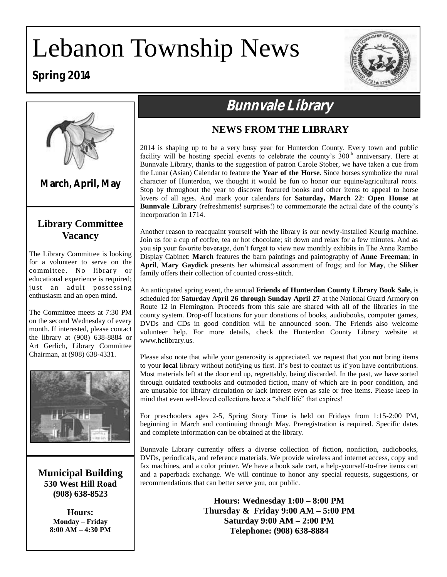# Lebanon Township News

# **Spring 2014**





**March, April, May**

## **Library Committee Vacancy**

The Library Committee is looking for a volunteer to serve on the committee. No library or educational experience is required; just an adult possessing enthusiasm and an open mind.

The Committee meets at 7:30 PM on the second Wednesday of every month. If interested, please contact the library at (908) 638-8884 or Art Gerlich, Library Committee Chairman, at (908) 638-4331.



**Municipal Building 530 West Hill Road (908) 638-8523**

> **Hours: Monday – Friday 8:00 AM – 4:30 PM**

# **Bunnvale Library**

## **NEWS FROM THE LIBRARY**

2014 is shaping up to be a very busy year for Hunterdon County. Every town and public facility will be hosting special events to celebrate the county's  $300<sup>th</sup>$  anniversary. Here at Bunnvale Library, thanks to the suggestion of patron Carole Stober, we have taken a cue from the Lunar (Asian) Calendar to feature the **Year of the Horse**. Since horses symbolize the rural character of Hunterdon, we thought it would be fun to honor our equine/agricultural roots. Stop by throughout the year to discover featured books and other items to appeal to horse lovers of all ages. And mark your calendars for **Saturday, March 22**: **Open House at Bunnvale Library** (refreshments! surprises!) to commemorate the actual date of the county's incorporation in 1714.

Another reason to reacquaint yourself with the library is our newly-installed Keurig machine. Join us for a cup of coffee, tea or hot chocolate; sit down and relax for a few minutes. And as you sip your favorite beverage, don't forget to view new monthly exhibits in The Anne Rambo Display Cabinet: **March** features the barn paintings and paintography of **Anne Freeman**; in **April**, **Mary Gaydick** presents her whimsical assortment of frogs; and for **May**, the **Sliker** family offers their collection of counted cross-stitch.

An anticipated spring event, the annual **Friends of Hunterdon County Library Book Sale,** is scheduled for **Saturday April 26 through Sunday April 27** at the National Guard Armory on Route 12 in Flemington. Proceeds from this sale are shared with all of the libraries in the county system. Drop-off locations for your donations of books, audiobooks, computer games, DVDs and CDs in good condition will be announced soon. The Friends also welcome volunteer help. For more details, check the Hunterdon County Library website at www.hclibrary.us.

Please also note that while your generosity is appreciated, we request that you **not** bring items to your **local** library without notifying us first. It's best to contact us if you have contributions. Most materials left at the door end up, regrettably, being discarded. In the past, we have sorted through outdated textbooks and outmoded fiction, many of which are in poor condition, and are unusable for library circulation or lack interest even as sale or free items. Please keep in mind that even well-loved collections have a "shelf life" that expires!

For preschoolers ages 2-5, Spring Story Time is held on Fridays from 1:15-2:00 PM, beginning in March and continuing through May. Preregistration is required. Specific dates and complete information can be obtained at the library.

Bunnvale Library currently offers a diverse collection of fiction, nonfiction, audiobooks, DVDs, periodicals, and reference materials. We provide wireless and internet access, copy and fax machines, and a color printer. We have a book sale cart, a help-yourself-to-free items cart and a paperback exchange. We will continue to honor any special requests, suggestions, or recommendations that can better serve you, our public.

> **Hours: Wednesday 1:00 – 8:00 PM Thursday & Friday 9:00 AM – 5:00 PM Saturday 9:00 AM – 2:00 PM Telephone: (908) 638-8884**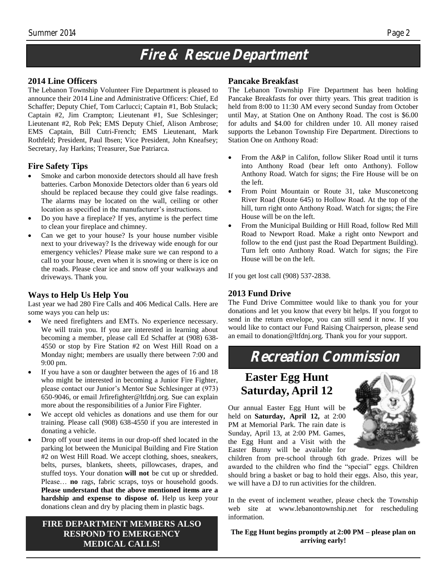# **Fire & Rescue Department**

#### **2014 Line Officers**

The Lebanon Township Volunteer Fire Department is pleased to announce their 2014 Line and Administrative Officers: Chief, Ed Schaffer; Deputy Chief, Tom Carlucci; Captain #1, Bob Stulack; Captain #2, Jim Crampton; Lieutenant #1, Sue Schlesinger; Lieutenant #2, Rob Pek; EMS Deputy Chief, Alison Ambrose; EMS Captain, Bill Cutri-French; EMS Lieutenant, Mark Rothfeld; President, Paul Ibsen; Vice President, John Kneafsey; Secretary, Jay Harkins; Treasurer, Sue Patriarca.

#### **Fire Safety Tips**

- Smoke and carbon monoxide detectors should all have fresh batteries. Carbon Monoxide Detectors older than 6 years old should be replaced because they could give false readings. The alarms may be located on the wall, ceiling or other location as specified in the manufacturer's instructions.
- Do you have a fireplace? If yes, anytime is the perfect time to clean your fireplace and chimney.
- Can we get to your house? Is your house number visible next to your driveway? Is the driveway wide enough for our emergency vehicles? Please make sure we can respond to a call to your house, even when it is snowing or there is ice on the roads. Please clear ice and snow off your walkways and driveways. Thank you.

#### **Ways to Help Us Help You**

Last year we had 280 Fire Calls and 406 Medical Calls. Here are some ways you can help us:

- We need firefighters and EMTs. No experience necessary. We will train you. If you are interested in learning about becoming a member, please call Ed Schaffer at (908) 638- 4550 or stop by Fire Station #2 on West Hill Road on a Monday night; members are usually there between 7:00 and 9:00 pm.
- If you have a son or daughter between the ages of 16 and 18 who might be interested in becoming a Junior Fire Fighter, please contact our Junior's Mentor Sue Schlesinger at (973) 650-9046, or email Jrfirefighter@ltfdnj.org. Sue can explain more about the responsibilities of a Junior Fire Fighter.
- We accept old vehicles as donations and use them for our training. Please call (908) 638-4550 if you are interested in donating a vehicle.
- Drop off your used items in our drop-off shed located in the parking lot between the Municipal Building and Fire Station #2 on West Hill Road. We accept clothing, shoes, sneakers, belts, purses, blankets, sheets, pillowcases, drapes, and stuffed toys. Your donation **will not** be cut up or shredded. Please… **no** rags, fabric scraps, toys or household goods. **Please understand that the above mentioned items are a hardship and expense to dispose of.** Help us keep your donations clean and dry by placing them in plastic bags.

#### **FIRE DEPARTMENT MEMBERS ALSO RESPOND TO EMERGENCY MEDICAL CALLS!**

#### **Pancake Breakfast**

The Lebanon Township Fire Department has been holding Pancake Breakfasts for over thirty years. This great tradition is held from 8:00 to 11:30 AM every second Sunday from October until May, at Station One on Anthony Road. The cost is \$6.00 for adults and \$4.00 for children under 10. All money raised supports the Lebanon Township Fire Department. Directions to Station One on Anthony Road:

- From the A&P in Califon, follow Sliker Road until it turns into Anthony Road (bear left onto Anthony). Follow Anthony Road. Watch for signs; the Fire House will be on the left.
- From Point Mountain or Route 31, take Musconetcong River Road (Route 645) to Hollow Road. At the top of the hill, turn right onto Anthony Road. Watch for signs; the Fire House will be on the left.
- From the Municipal Building or Hill Road, follow Red Mill Road to Newport Road. Make a right onto Newport and follow to the end (just past the Road Department Building). Turn left onto Anthony Road. Watch for signs; the Fire House will be on the left.

If you get lost call (908) 537-2838.

#### **2013 Fund Drive**

The Fund Drive Committee would like to thank you for your donations and let you know that every bit helps. If you forgot to send in the return envelope, you can still send it now. If you would like to contact our Fund Raising Chairperson, please send an email to donation@ltfdnj.org. Thank you for your support.

# **Recreation Commission**

## **Easter Egg Hunt Saturday, April 12**

Our annual Easter Egg Hunt will be held on **Saturday, April 12,** at 2:00 PM at Memorial Park. The rain date is Sunday, April 13, at 2:00 PM. Games, the Egg Hunt and a Visit with the Easter Bunny will be available for



children from pre-school through 6th grade. Prizes will be awarded to the children who find the "special" eggs. Children should bring a basket or bag to hold their eggs. Also, this year, we will have a DJ to run activities for the children.

In the event of inclement weather, please check the Township web site at www.lebanontownship.net for rescheduling information.

**The Egg Hunt begins promptly at 2:00 PM – please plan on arriving early!**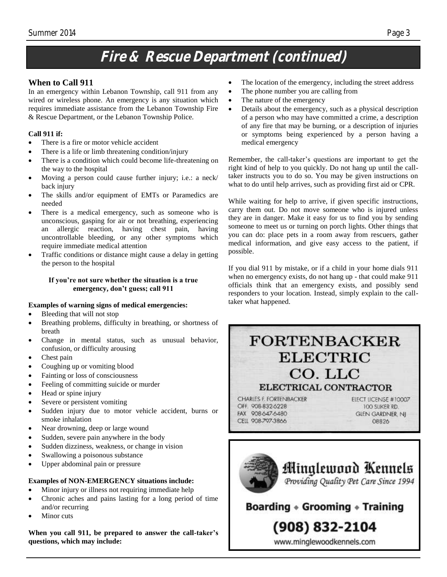# **Fire & Rescue Department (continued)**

#### **When to Call 911**

In an emergency within Lebanon Township, call 911 from any wired or wireless phone. An emergency is any situation which requires immediate assistance from the Lebanon Township Fire & Rescue Department, or the Lebanon Township Police.

#### **Call 911 if:**

- There is a fire or motor vehicle accident
- There is a life or limb threatening condition/injury
- There is a condition which could become life-threatening on the way to the hospital
- Moving a person could cause further injury; i.e.: a neck/ back injury
- The skills and/or equipment of EMTs or Paramedics are needed
- There is a medical emergency, such as someone who is unconscious, gasping for air or not breathing, experiencing an allergic reaction, having chest pain, having uncontrollable bleeding, or any other symptoms which require immediate medical attention
- Traffic conditions or distance might cause a delay in getting the person to the hospital

#### **If you're not sure whether the situation is a true emergency, don't guess; call 911**

#### **Examples of warning signs of medical emergencies:**

- Bleeding that will not stop
- Breathing problems, difficulty in breathing, or shortness of breath
- Change in mental status, such as unusual behavior, confusion, or difficulty arousing
- Chest pain
- Coughing up or vomiting blood
- Fainting or loss of consciousness
- Feeling of committing suicide or murder
- Head or spine injury
- Severe or persistent vomiting
- Sudden injury due to motor vehicle accident, burns or smoke inhalation
- Near drowning, deep or large wound
- Sudden, severe pain anywhere in the body
- Sudden dizziness, weakness, or change in vision
- Swallowing a poisonous substance
- Upper abdominal pain or pressure

#### **Examples of NON-EMERGENCY situations include:**

- Minor injury or illness not requiring immediate help
- Chronic aches and pains lasting for a long period of time and/or recurring
- Minor cuts

**When you call 911, be prepared to answer the call-taker's questions, which may include:**

- The location of the emergency, including the street address
- The phone number you are calling from
- The nature of the emergency
- Details about the emergency, such as a physical description of a person who may have committed a crime, a description of any fire that may be burning, or a description of injuries or symptoms being experienced by a person having a medical emergency

Remember, the call-taker's questions are important to get the right kind of help to you quickly. Do not hang up until the calltaker instructs you to do so. You may be given instructions on what to do until help arrives, such as providing first aid or CPR.

While waiting for help to arrive, if given specific instructions, carry them out. Do not move someone who is injured unless they are in danger. Make it easy for us to find you by sending someone to meet us or turning on porch lights. Other things that you can do: place pets in a room away from rescuers, gather medical information, and give easy access to the patient, if possible.

If you dial 911 by mistake, or if a child in your home dials 911 when no emergency exists, do not hang up - that could make 911 officials think that an emergency exists, and possibly send responders to your location. Instead, simply explain to the calltaker what happened.

# **FORTENBACKER ELECTRIC** CO. LLC

ELECTRICAL CONTRACTOR

CHARIES E FORTENBACKER OFF. 908-832-6228 FAX 908-647-6480 CELL 908-797-3866

ELECT LICENSE #10007 TOO SLIKER RD. **GLEN GARDNER, NJ** 08826



Boarding  $\ast$  Grooming  $\ast$  Training

# (908) 832-2104

www.minglewoodkennels.com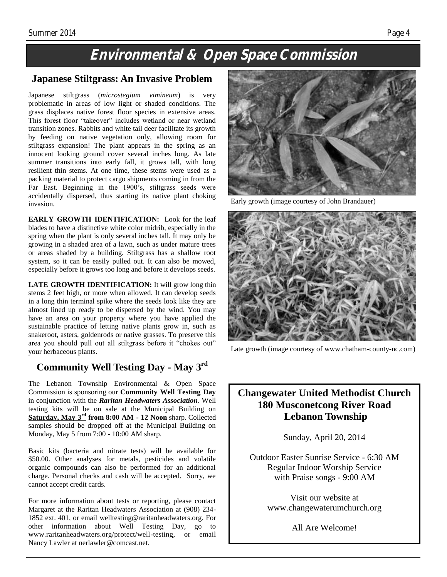# **Environmental & Open Space Commission**

#### **Japanese Stiltgrass: An Invasive Problem**

Japanese stiltgrass (*microstegium vimineum*) is very problematic in areas of low light or shaded conditions. The grass displaces native forest floor species in extensive areas. This forest floor "takeover" includes wetland or near wetland transition zones. Rabbits and white tail deer facilitate its growth by feeding on native vegetation only, allowing room for stiltgrass expansion! The plant appears in the spring as an innocent looking ground cover several inches long. As late summer transitions into early fall, it grows tall, with long resilient thin stems. At one time, these stems were used as a packing material to protect cargo shipments coming in from the Far East. Beginning in the 1900's, stiltgrass seeds were accidentally dispersed, thus starting its native plant choking invasion.

**EARLY GROWTH IDENTIFICATION:** Look for the leaf blades to have a distinctive white color midrib, especially in the spring when the plant is only several inches tall. It may only be growing in a shaded area of a lawn, such as under mature trees or areas shaded by a building. Stiltgrass has a shallow root system, so it can be easily pulled out. It can also be mowed, especially before it grows too long and before it develops seeds.

**LATE GROWTH IDENTIFICATION:** It will grow long thin stems 2 feet high, or more when allowed. It can develop seeds in a long thin terminal spike where the seeds look like they are almost lined up ready to be dispersed by the wind. You may have an area on your property where you have applied the sustainable practice of letting native plants grow in, such as snakeroot, asters, goldenrods or native grasses. To preserve this area you should pull out all stiltgrass before it "chokes out" your herbaceous plants.

#### **Community Well Testing Day - May 3rd**

The Lebanon Township Environmental & Open Space Commission is sponsoring our **Community Well Testing Day** in conjunction with the *Raritan Headwaters Association*. Well testing kits will be on sale at the Municipal Building on **Saturday, May 3rd from 8:00 AM - 12 Noon** sharp. Collected samples should be dropped off at the Municipal Building on Monday, May 5 from 7:00 - 10:00 AM sharp.

Basic kits (bacteria and nitrate tests) will be available for \$50.00. Other analyses for metals, pesticides and volatile organic compounds can also be performed for an additional charge. Personal checks and cash will be accepted. Sorry, we cannot accept credit cards.

For more information about tests or reporting, please contact Margaret at the Raritan Headwaters Association at (908) 234- 1852 ext. 401, or email welltesting@raritanheadwaters.org. For other information about Well Testing Day, go to www.raritanheadwaters.org/protect/well-testing, or email Nancy Lawler at nerlawler@comcast.net.



Early growth (image courtesy of John Brandauer)



Late growth (image courtesy of www.chatham-county-nc.com)

#### **Changewater United Methodist Church 180 Musconetcong River Road Lebanon Township**

Sunday, April 20, 2014

Outdoor Easter Sunrise Service - 6:30 AM Regular Indoor Worship Service with Praise songs - 9:00 AM

> Visit our website at www.changewaterumchurch.org

> > All Are Welcome!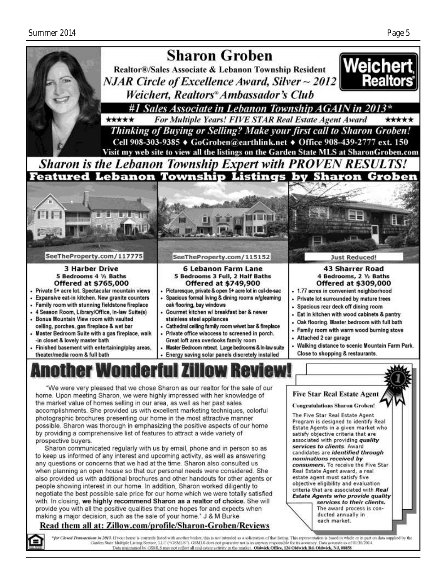

the market value of homes selling in our area, as well as her past sales accomplishments. She provided us with excellent marketing techniques, colorful photographic brochures presenting our home in the most attractive manner possible. Sharon was thorough in emphasizing the positive aspects of our home by providing a comprehensive list of features to attract a wide variety of prospective buvers.

Sharon communicated regularly with us by email, phone and in person so as to keep us informed of any interest and upcoming activity, as well as answering any questions or concerns that we had at the time. Sharon also consulted us when planning an open house so that our personal needs were considered. She also provided us with additional brochures and other handouts for other agents or people showing interest in our home. In addition, Sharon worked diligently to negotiate the best possible sale price for our home which we were totally satisfied with. In closing, we highly recommend Sharon as a realtor of choice. She will provide you with all the positive qualities that one hopes for and expects when making a major decision, such as the sale of your home." J & M Burke

#### Read them all at: Zillow.com/profile/Sharon-Groben/Reviews

each market.

The Five Star Real Estate Agent

satisfy objective criteria that are associated with providing quality

Real Estate Agent award, a real estate agent must satisfy five

objective eligibility and evaluation

candidates are identified through

consumers. To receive the Five Star

criteria that are associated with Real

**Estate Agents who provide quality** 

ducted annually in

services to their clients.

The award process is con-

services to clients. Award

nominations received by

Program is designed to identify Real

Estate Agents in a given market who

"for Closed Transactions in 2013. If your home is currently listed with another broker, this is not intended as a solicitation of that listing. This representation is based in whole or in part on data supplied by the<br>Garde Data maintained by GSMLS may not reflect all real estate activity in the market. Oldwick Office, 126 Oldwick Rd. Oldwick, NJ, 08858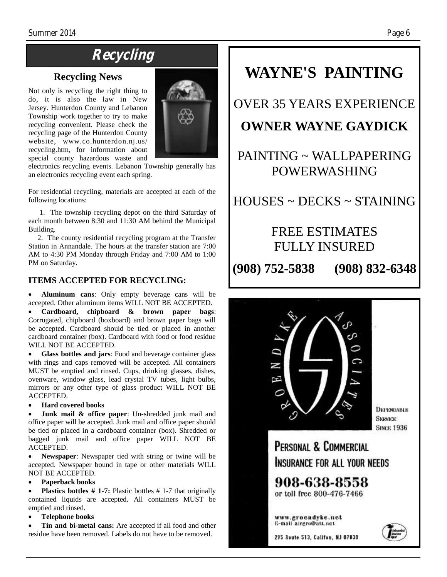# **Recycling**

#### **Recycling News**

Not only is recycling the right thing to do, it is also the law in New Jersey. Hunterdon County and Lebanon Township work together to try to make recycling convenient. Please check the recycling page of the Hunterdon County website, www.co.hunterdon.nj.us/ recycling.htm, for information about special county hazardous waste and



electronics recycling events. Lebanon Township generally has an electronics recycling event each spring.

For residential recycling, materials are accepted at each of the following locations:

 1. The township recycling depot on the third Saturday of each month between 8:30 and 11:30 AM behind the Municipal Building.

 2. The county residential recycling program at the Transfer Station in Annandale. The hours at the transfer station are 7:00 AM to 4:30 PM Monday through Friday and 7:00 AM to 1:00 PM on Saturday.

#### **ITEMS ACCEPTED FOR RECYCLING:**

 **Aluminum cans**: Only empty beverage cans will be accepted. Other aluminum items WILL NOT BE ACCEPTED.

 **Cardboard, chipboard & brown paper bags**: Corrugated, chipboard (boxboard) and brown paper bags will be accepted. Cardboard should be tied or placed in another cardboard container (box). Cardboard with food or food residue WILL NOT BE ACCEPTED.

 **Glass bottles and jars**: Food and beverage container glass with rings and caps removed will be accepted. All containers MUST be emptied and rinsed. Cups, drinking glasses, dishes, ovenware, window glass, lead crystal TV tubes, light bulbs, mirrors or any other type of glass product WILL NOT BE ACCEPTED.

#### **Hard covered books**

 **Junk mail & office paper**: Un-shredded junk mail and office paper will be accepted. Junk mail and office paper should be tied or placed in a cardboard container (box). Shredded or bagged junk mail and office paper WILL NOT BE ACCEPTED.

 **Newspaper**: Newspaper tied with string or twine will be accepted. Newspaper bound in tape or other materials WILL NOT BE ACCEPTED.

#### **Paperback books**

 **Plastics bottles # 1-7:** Plastic bottles # 1-7 that originally contained liquids are accepted. All containers MUST be emptied and rinsed.

**Telephone books**

 **Tin and bi-metal cans:** Are accepted if all food and other residue have been removed. Labels do not have to be removed.

# **WAYNE'S PAINTING**

# OVER 35 YEARS EXPERIENCE

## **OWNER WAYNE GAYDICK**

# PAINTING ~ WALLPAPERING POWERWASHING

HOUSES ~ DECKS ~ STAINING

## FREE ESTIMATES FULLY INSURED

**(908) 752-5838 (908) 832-6348**

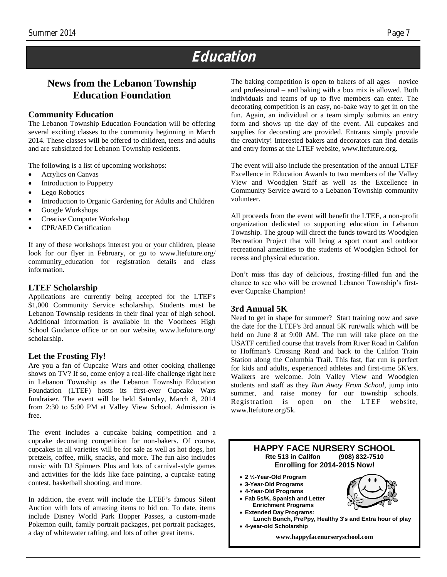# **Education**

### **News from the Lebanon Township Education Foundation**

#### **Community Education**

The Lebanon Township Education Foundation will be offering several exciting classes to the community beginning in March 2014. These classes will be offered to children, teens and adults and are subsidized for Lebanon Township residents.

The following is a list of upcoming workshops:

- Acrylics on Canvas
- Introduction to Puppetry
- Lego Robotics
- Introduction to Organic Gardening for Adults and Children
- Google Workshops
- Creative Computer Workshop
- CPR/AED Certification

If any of these workshops interest you or your children, please look for our flyer in February, or go to www.[ltefuture.org/](http://ltefuture.org/community_education) community education for registration details and class information.

#### **LTEF Scholarship**

Applications are currently being accepted for the LTEF's \$1,000 Community Service scholarship. Students must be Lebanon Township residents in their final year of high school. Additional information is available in the Voorhees High School Guidance office or on our website, www.ltefuture.org/ scholarship.

#### **Let the Frosting Fly!**

Are you a fan of Cupcake Wars and other cooking challenge shows on TV? If so, come enjoy a real-life challenge right here in Lebanon Township as the Lebanon Township Education Foundation (LTEF) hosts its first-ever Cupcake Wars fundraiser. The event will be held Saturday, March 8, 2014 from 2:30 to 5:00 PM at Valley View School. Admission is free.

The event includes a cupcake baking competition and a cupcake decorating competition for non-bakers. Of course, cupcakes in all varieties will be for sale as well as hot dogs, hot pretzels, coffee, milk, snacks, and more. The fun also includes music with DJ Spinners Plus and lots of carnival-style games and activities for the kids like face painting, a cupcake eating contest, basketball shooting, and more.

In addition, the event will include the LTEF's famous Silent Auction with lots of amazing items to bid on. To date, items include Disney World Park Hopper Passes, a custom-made Pokemon quilt, family portrait packages, pet portrait packages, a day of whitewater rafting, and lots of other great items.

The baking competition is open to bakers of all ages – novice and professional – and baking with a box mix is allowed. Both individuals and teams of up to five members can enter. The decorating competition is an easy, no-bake way to get in on the fun. Again, an individual or a team simply submits an entry form and shows up the day of the event. All cupcakes and supplies for decorating are provided. Entrants simply provide the creativity! Interested bakers and decorators can find details and entry forms at the LTEF website, www.ltefuture.org.

The event will also include the presentation of the annual LTEF Excellence in Education Awards to two members of the Valley View and Woodglen Staff as well as the Excellence in Community Service award to a Lebanon Township community volunteer.

All proceeds from the event will benefit the LTEF, a non-profit organization dedicated to supporting education in Lebanon Township. The group will direct the funds toward its Woodglen Recreation Project that will bring a sport court and outdoor recreational amenities to the students of Woodglen School for recess and physical education.

Don't miss this day of delicious, frosting-filled fun and the chance to see who will be crowned Lebanon Township's firstever Cupcake Champion!

#### **3rd Annual 5K**

Need to get in shape for summer? Start training now and save the date for the LTEF's 3rd annual 5K run/walk which will be held on June 8 at 9:00 AM. The run will take place on the USATF certified course that travels from River Road in Califon to Hoffman's Crossing Road and back to the Califon Train Station along the Columbia Trail. This fast, flat run is perfect for kids and adults, experienced athletes and first-time 5K'ers. Walkers are welcome. Join Valley View and Woodglen students and staff as they *Run Away From School*, jump into summer, and raise money for our township schools. Registration is open on the LTEF website, www.ltefuture.org/5k.

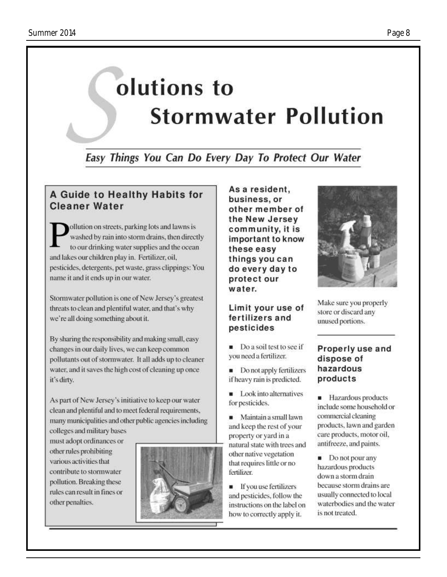# olutions to **Stormwater Pollution**

Easy Things You Can Do Every Day To Protect Our Water

### A Guide to Healthy Habits for **Cleaner Water**

ollution on streets, parking lots and lawns is washed by rain into storm drains, then directly to our drinking water supplies and the ocean and lakes our children play in. Fertilizer, oil, pesticides, detergents, pet waste, grass clippings: You name it and it ends up in our water.

Stormwater pollution is one of New Jersey's greatest threats to clean and plentiful water, and that's why we're all doing something about it.

By sharing the responsibility and making small, easy changes in our daily lives, we can keep common pollutants out of stormwater. It all adds up to cleaner water, and it saves the high cost of cleaning up once it's dirty.

As part of New Jersey's initiative to keep our water clean and plentiful and to meet federal requirements, many municipalities and other public agencies including colleges and military bases

must adopt ordinances or other rules prohibiting various activities that contribute to stormwater pollution. Breaking these rules can result in fines or other penalties.



As a resident. business, or other member of the New Jersey community, it is important to know these easy things you can do every day to protect our water.

#### Limit your use of fertilizers and pesticides

Do a soil test to see if you need a fertilizer.

• Do not apply fertilizers if heavy rain is predicted.

Look into alternatives for pesticides.

Maintain a small lawn and keep the rest of your property or yard in a natural state with trees and other native vegetation that requires little or no fertilizer.

**If you use fertilizers** and pesticides, follow the instructions on the label on how to correctly apply it.



Make sure you properly store or discard any unused portions.

#### Properly use and dispose of hazardous products

**Hazardous** products include some household or commercial cleaning products, lawn and garden care products, motor oil. antifreeze, and paints.

 $\blacksquare$  Do not pour any hazardous products down a storm drain because storm drains are usually connected to local waterbodies and the water is not treated.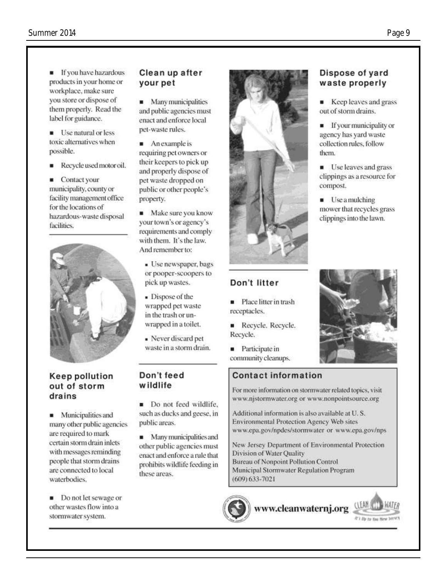- **F** If you have hazardous products in your home or workplace, make sure you store or dispose of them properly. Read the label for guidance.
- **Use natural or less** toxic alternatives when possible.
- Recycle used motor oil.
- Contact your municipality, county or facility management office for the locations of hazardous-waste disposal facilities.



#### **Keep pollution** out of storm drains

• Municipalities and many other public agencies are required to mark certain storm drain inlets with messages reminding people that storm drains are connected to local waterbodies.

Do not let sewage or other wastes flow into a stormwater system.

#### Clean up after vour pet

• Many municipalities and public agencies must enact and enforce local pet-waste rules.

- An example is requiring pet owners or their keepers to pick up and properly dispose of pet waste dropped on public or other people's property.
- Make sure you know your town's or agency's requirements and comply with them. It's the law. And remember to:
- · Use newspaper, bags or pooper-scoopers to pick up wastes.
- Dispose of the wrapped pet waste in the trash or unwrapped in a toilet.
- Never discard pet waste in a storm drain.

#### Don't feed wildlife

Do not feed wildlife. such as ducks and geese, in public areas.

Many municipalities and other public agencies must enact and enforce a rule that prohibits wildlife feeding in these areas.





#### Don't litter

Place litter in trash receptacles.

- Recycle, Recycle. Recycle.
- **Participate in** community cleanups.

#### **Contact information**

For more information on stormwater related topics, visit www.njstormwater.org or www.nonpointsource.org

Additional information is also available at U.S. **Environmental Protection Agency Web sites** www.epa.gov/npdes/stormwater or www.epa.gov/nps

New Jersey Department of Environmental Protection Division of Water Quality Bureau of Nonpoint Pollution Control Municipal Stormwater Regulation Program  $(609) 633 - 7021$ 

## Dispose of yard waste properly

Keep leaves and grass out of storm drains.

**If your municipality or** agency has yard waste collection rules, follow them.

**Use leaves and grass** clippings as a resource for compost.

Use a mulching mower that recycles grass clippings into the lawn.



At's the to time these between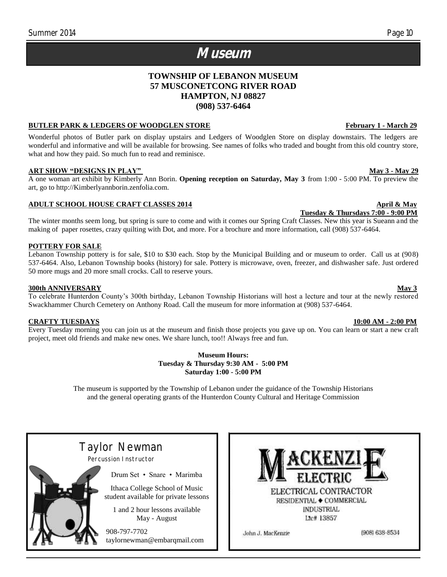# **Museum**

#### **TOWNSHIP OF LEBANON MUSEUM 57 MUSCONETCONG RIVER ROAD HAMPTON, NJ 08827 (908) 537-6464**

#### **BUTLER PARK & LEDGERS OF WOODGLEN STORE FOR EXAMPLE 1 ASSESSMENT ASSESSMENT OF A LIGATION CONTROL OF A LIGATION**

Wonderful photos of Butler park on display upstairs and Ledgers of Woodglen Store on display downstairs. The ledgers are wonderful and informative and will be available for browsing. See names of folks who traded and bought from this old country store, what and how they paid. So much fun to read and reminisce.

#### **ART SHOW "DESIGNS IN PLAY" May 3 - May 29**

A one woman art exhibit by Kimberly Ann Borin. **Opening reception on Saturday, May 3** from 1:00 - 5:00 PM. To preview the art, go to http://Kimberlyannborin.zenfolia.com.

#### **ADULT SCHOOL HOUSE CRAFT CLASSES 2014 April & May**

The winter months seem long, but spring is sure to come and with it comes our Spring Craft Classes. New this year is Sueann and the making of paper rosettes, crazy quilting with Dot, and more. For a brochure and more information, call (908) 537-6464.

#### **POTTERY FOR SALE**

Lebanon Township pottery is for sale, \$10 to \$30 each. Stop by the Municipal Building and or museum to order. Call us at (908) 537-6464. Also, Lebanon Township books (history) for sale. Pottery is microwave, oven, freezer, and dishwasher safe. Just ordered 50 more mugs and 20 more small crocks. Call to reserve yours.

#### **300th ANNIVERSARY May 3**

To celebrate Hunterdon County's 300th birthday, Lebanon Township Historians will host a lecture and tour at the newly restored Swackhammer Church Cemetery on Anthony Road. Call the museum for more information at (908) 537-6464.

#### **CRAFTY TUESDAYS 10:00 AM - 2:00 PM**

Every Tuesday morning you can join us at the museum and finish those projects you gave up on. You can learn or start a new craft project, meet old friends and make new ones. We share lunch, too!! Always free and fun.

> **Museum Hours: Tuesday & Thursday 9:30 AM - 5:00 PM Saturday 1:00 - 5:00 PM**

The museum is supported by the Township of Lebanon under the guidance of the Township Historians and the general operating grants of the Hunterdon County Cultural and Heritage Commission

Taylor Newman

Percussion Instructor

Drum Set • Snare • Marimba

Ithaca College School of Music student available for private lessons

1 and 2 hour lessons available May - August

 908-797-7702 taylornewman@embarqmail.com ELECTRICAL CONTRACTOR RESIDENTIAL COMMERCIAL **INDUSTRIAL** Lte# 13857

John J. MacKenzie

(908) 638-8534

#### **Tuesday & Thursdays 7:00 - 9:00 PM**

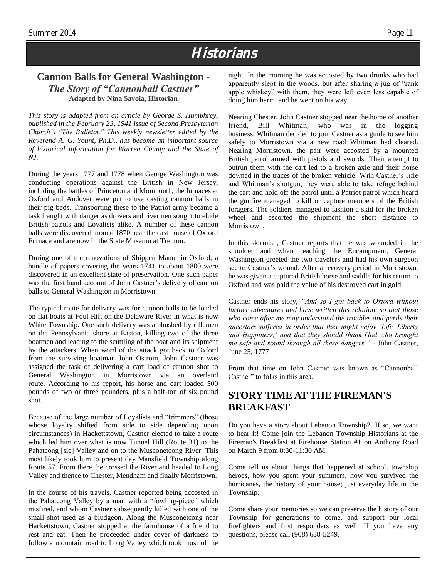# **Historians**

#### **Cannon Balls for General Washington -** *The Story of "Cannonball Castner"* **Adapted by Nina Savoia, Historian**

*This story is adapted from an article by George S. Humphrey, published in the February 23, 1941 issue of Second Presbyterian Church's "The Bulletin." This weekly newsletter edited by the Reverend A. G. Yount, Ph.D., has become an important source of historical information for Warren County and the State of NJ.* 

During the years 1777 and 1778 when George Washington was conducting operations against the British in New Jersey, including the battles of Princeton and Monmouth, the furnaces at Oxford and Andover were put to use casting cannon balls in their pig beds. Transporting these to the Patriot army became a task fraught with danger as drovers and rivermen sought to elude British patrols and Loyalists alike. A number of these cannon balls were discovered around 1870 near the cast house of Oxford Furnace and are now in the State Museum at Trenton.

During one of the renovations of Shippen Manor in Oxford, a bundle of papers covering the years 1741 to about 1800 were discovered in an excellent state of preservation. One such paper was the first hand account of John Castner's delivery of cannon balls to General Washington in Morristown.

The typical route for delivery was for cannon balls to be loaded on flat boats at Foul Rift on the Delaware River in what is now White Township. One such delivery was ambushed by riflemen on the Pennsylvania shore at Easton, killing two of the three boatmen and leading to the scuttling of the boat and its shipment by the attackers. When word of the attack got back to Oxford from the surviving boatman John Ostrom, John Castner was assigned the task of delivering a cart load of cannon shot to General Washington in Morristown via an overland route. According to his report, his horse and cart loaded 500 pounds of two or three pounders, plus a half-ton of six pound shot.

Because of the large number of Loyalists and "trimmers" (those whose loyalty shifted from side to side depending upon circumstances) in Hackettstown, Castner elected to take a route which led him over what is now Tunnel Hill (Route 31) to the Pahatcong [sic] Valley and on to the Musconetcong River. This most likely took him to present day Mansfield Township along Route 57. From there, he crossed the River and headed to Long Valley and thence to Chester, Mendham and finally Morristown.

In the course of his travels, Castner reported being accosted in the Pahatcong Valley by a man with a "fowling-piece" which misfired, and whom Castner subsequently killed with one of the small shot used as a bludgeon. Along the Musconetcong near Hackettstown, Castner stopped at the farmhouse of a friend to rest and eat. Then he proceeded under cover of darkness to follow a mountain road to Long Valley which took most of the

night. In the morning he was accosted by two drunks who had apparently slept in the woods, but after sharing a jug of "rank apple whiskey" with them, they were left even less capable of doing him harm, and he went on his way.

Nearing Chester, John Castner stopped near the home of another friend, Bill Whitman, who was in the logging business. Whitman decided to join Castner as a guide to see him safely to Morristown via a new road Whitman had cleared. Nearing Morristown, the pair were accosted by a mounted British patrol armed with pistols and swords. Their attempt to outrun them with the cart led to a broken axle and their horse downed in the traces of the broken vehicle. With Castner's rifle and Whitman's shotgun, they were able to take refuge behind the cart and hold off the patrol until a Patriot patrol which heard the gunfire managed to kill or capture members of the British foragers. The soldiers managed to fashion a skid for the broken wheel and escorted the shipment the short distance to Morristown.

In this skirmish, Castner reports that he was wounded in the shoulder and when reaching the Encampment, General Washington greeted the two travelers and had his own surgeon see to Castner's wound. After a recovery period in Morristown, he was given a captured British horse and saddle for his return to Oxford and was paid the value of his destroyed cart in gold.

Castner ends his story, *"And so I got back to Oxford without further adventures and have written this relation, so that those who come after me may understand the troubles and perils their ancestors suffered in order that they might enjoy 'Life, Liberty and Happiness,' and that they should thank God who brought me safe and sound through all these dangers." -* John Castner, June 25, 1777

From that time on John Castner was known as "Cannonball Castner" to folks in this area.

#### **STORY TIME AT THE FIREMAN'S BREAKFAST**

Do you have a story about Lebanon Township? If so, we want to hear it! Come join the Lebanon Township Historians at the Fireman's Breakfast at Firehouse Station #1 on Anthony Road on March 9 from 8:30-11:30 AM.

Come tell us about things that happened at school, township heroes, how you spent your summers, how you survived the hurricanes, the history of your house; just everyday life in the Township.

Come share your memories so we can preserve the history of our Township for generations to come, and support our local firefighters and first responders as well. If you have any questions, please call (908) 638-5249.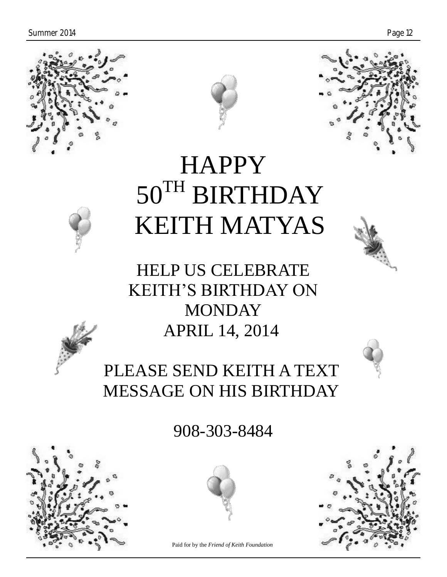





# **HAPPY** 50TH BIRTHDAY KEITH MATYAS

HELP US CELEBRATE KEITH'S BIRTHDAY ON MONDAY APRIL 14, 2014

PLEASE SEND KEITH A TEXT MESSAGE ON HIS BIRTHDAY

908-303-8484





Paid for by the *Friend of Keith Foundation*

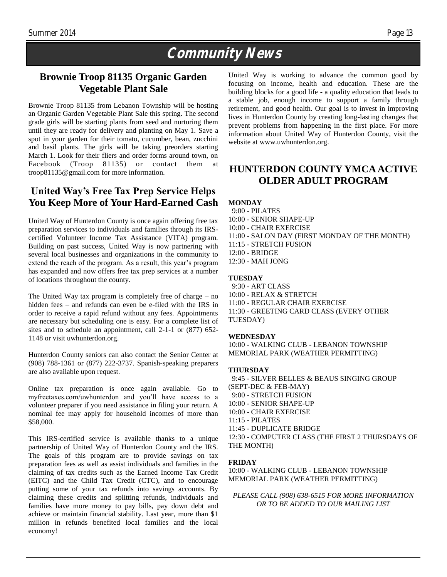# **Community News**

#### **Brownie Troop 81135 Organic Garden Vegetable Plant Sale**

Brownie Troop 81135 from Lebanon Township will be hosting an Organic Garden Vegetable Plant Sale this spring. The second grade girls will be starting plants from seed and nurturing them until they are ready for delivery and planting on May 1. Save a spot in your garden for their tomato, cucumber, bean, zucchini and basil plants. The girls will be taking preorders starting March 1. Look for their fliers and order forms around town, on Facebook (Troop 81135) or contact them at troop81135@gmail.com for more information.

#### **United Way's Free Tax Prep Service Helps You Keep More of Your Hard-Earned Cash**

United Way of Hunterdon County is once again offering free tax preparation services to individuals and families through its IRScertified Volunteer Income Tax Assistance (VITA) program. Building on past success, United Way is now partnering with several local businesses and organizations in the community to extend the reach of the program. As a result, this year's program has expanded and now offers free tax prep services at a number of locations throughout the county.

The United Way tax program is completely free of charge – no hidden fees – and refunds can even be e-filed with the IRS in order to receive a rapid refund without any fees. Appointments are necessary but scheduling one is easy. For a complete list of sites and to schedule an appointment, call 2-1-1 or (877) 652- 1148 or visit uwhunterdon.org.

Hunterdon County seniors can also contact the Senior Center at (908) 788-1361 or (877) 222-3737. Spanish-speaking preparers are also available upon request.

Online tax preparation is once again available. Go to myfreetaxes.com/uwhunterdon and you'll have access to a volunteer preparer if you need assistance in filing your return. A nominal fee may apply for household incomes of more than \$58,000.

This IRS-certified service is available thanks to a unique partnership of United Way of Hunterdon County and the IRS. The goals of this program are to provide savings on tax preparation fees as well as assist individuals and families in the claiming of tax credits such as the Earned Income Tax Credit (EITC) and the Child Tax Credit (CTC), and to encourage putting some of your tax refunds into savings accounts. By claiming these credits and splitting refunds, individuals and families have more money to pay bills, pay down debt and achieve or maintain financial stability. Last year, more than \$1 million in refunds benefited local families and the local economy!

United Way is working to advance the common good by focusing on income, health and education. These are the building blocks for a good life - a quality education that leads to a stable job, enough income to support a family through retirement, and good health. Our goal is to invest in improving lives in Hunterdon County by creating long-lasting changes that prevent problems from happening in the first place. For more information about United Way of Hunterdon County, visit the website at [www.uwhunterdon.org.](http://www.uwhunterdon.org/)

### **HUNTERDON COUNTY YMCA ACTIVE OLDER ADULT PROGRAM**

#### **MONDAY**

 9:00 - PILATES 10:00 - SENIOR SHAPE-UP 10:00 - CHAIR EXERCISE 11:00 - SALON DAY (FIRST MONDAY OF THE MONTH) 11:15 - STRETCH FUSION 12:00 - BRIDGE 12:30 - MAH JONG

#### **TUESDAY**

 9:30 - ART CLASS 10:00 - RELAX & STRETCH 11:00 - REGULAR CHAIR EXERCISE 11:30 - GREETING CARD CLASS (EVERY OTHER TUESDAY)

#### **WEDNESDAY**

10:00 *-* WALKING CLUB - LEBANON TOWNSHIP MEMORIAL PARK (WEATHER PERMITTING)

#### **THURSDAY**

 9:45 - SILVER BELLES & BEAUS SINGING GROUP (SEPT-DEC & FEB-MAY) 9:00 - STRETCH FUSION 10:00 - SENIOR SHAPE-UP 10:00 - CHAIR EXERCISE 11:15 - PILATES 11:45 - DUPLICATE BRIDGE 12:30 - COMPUTER CLASS (THE FIRST 2 THURSDAYS OF THE MONTH)

#### **FRIDAY**

10:00 - WALKING CLUB - LEBANON TOWNSHIP MEMORIAL PARK (WEATHER PERMITTING)

*PLEASE CALL (908) 638-6515 FOR MORE INFORMATION OR TO BE ADDED TO OUR MAILING LIST*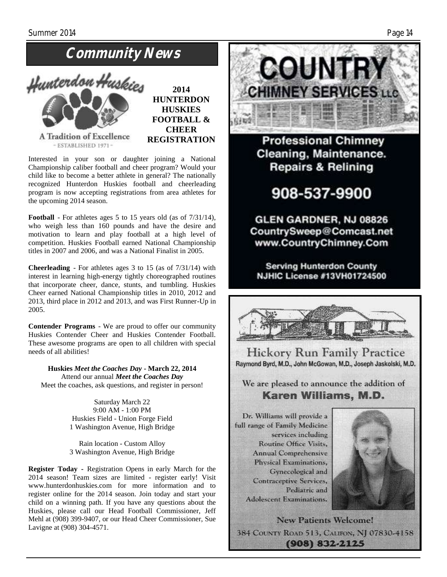# **Community News**



**2014 HUNTERDON HUSKIES FOOTBALL & CHEER REGISTRATION**

Interested in your son or daughter joining a National Championship caliber football and cheer program? Would your child like to become a better athlete in general? The nationally recognized Hunterdon Huskies football and cheerleading program is now accepting registrations from area athletes for the upcoming 2014 season.

**Football** - For athletes ages 5 to 15 years old (as of 7/31/14), who weigh less than 160 pounds and have the desire and motivation to learn and play football at a high level of competition. Huskies Football earned National Championship titles in 2007 and 2006, and was a National Finalist in 2005.

**Cheerleading** - For athletes ages 3 to 15 (as of 7/31/14) with interest in learning high-energy tightly choreographed routines that incorporate cheer, dance, stunts, and tumbling. Huskies Cheer earned National Championship titles in 2010, 2012 and 2013, third place in 2012 and 2013, and was First Runner-Up in 2005.

**Contender Programs** - We are proud to offer our community Huskies Contender Cheer and Huskies Contender Football. These awesome programs are open to all children with special needs of all abilities!

**Huskies** *Meet the Coaches Day* **- March 22, 2014** Attend our annual *Meet the Coaches Day* Meet the coaches, ask questions, and register in person!

> Saturday March 22 9:00 AM - 1:00 PM Huskies Field - Union Forge Field 1 Washington Avenue, High Bridge

> Rain location - Custom Alloy 3 Washington Avenue, High Bridge

**Register Today -** Registration Opens in early March for the 2014 season! Team sizes are limited - register early! Visit www.hunterdonhuskies.com for more information and to register online for the 2014 season. Join today and start your child on a winning path. If you have any questions about the Huskies, please call our Head Football Commissioner, Jeff Mehl at (908) 399-9407, or our Head Cheer Commissioner, Sue Lavigne at (908) 304-4571.



**Professional Chimney** Cleaning, Maintenance. **Repairs & Relining** 

908-537-9900

GLEN GARDNER, NJ 08826 CountrySweep@Comcast.net www.CountryChimney.Com

**Serving Hunterdon County NJHIC License #13VH01724500** 



**Hickory Run Family Practice** Raymond Byrd, M.D., John McGowan, M.D., Joseph Jaskolski, M.D.

We are pleased to announce the addition of Karen Williams, M.D.

Dr. Williams will provide a full range of Family Medicine services including Routine Office Visits, **Annual Comprehensive** Physical Examinations. Gynecological and **Contraceptive Services,** Pediatric and Adolescent Examinations.



**New Patients Welcome!** 384 COUNTY ROAD 513, CALIFON, NJ 07830-4158  $(908) 832 - 2125$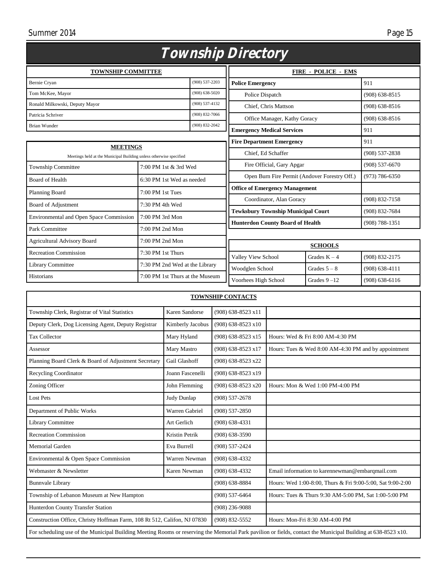#### Summer 2014

| C |  |
|---|--|
|   |  |

| <i>Township Directory</i>                                                             |                                 |                    |                                               |                    |                    |
|---------------------------------------------------------------------------------------|---------------------------------|--------------------|-----------------------------------------------|--------------------|--------------------|
| <b>TOWNSHIP COMMITTEE</b>                                                             |                                 |                    | <b>FIRE - POLICE - EMS</b>                    |                    |                    |
| Bernie Cryan                                                                          |                                 | $(908) 537 - 2203$ | <b>Police Emergency</b>                       |                    | 911                |
| Tom McKee, Mayor                                                                      |                                 | $(908) 638 - 5020$ | Police Dispatch                               |                    | $(908) 638 - 8515$ |
| Ronald Milkowski, Deputy Mayor                                                        |                                 | $(908) 537 - 4132$ | Chief, Chris Mattson                          |                    | $(908)$ 638-8516   |
| Patricia Schriver                                                                     |                                 | $(908) 832 - 7066$ | Office Manager, Kathy Goracy                  |                    | $(908) 638 - 8516$ |
| <b>Brian Wunder</b>                                                                   |                                 | $(908) 832 - 2042$ | <b>Emergency Medical Services</b>             |                    | 911                |
|                                                                                       |                                 |                    | <b>Fire Department Emergency</b>              |                    | 911                |
| <b>MEETINGS</b><br>Meetings held at the Municipal Building unless otherwise specified |                                 | Chief, Ed Schaffer |                                               | $(908) 537 - 2838$ |                    |
| <b>Township Committee</b>                                                             | 7:00 PM 1st & 3rd Wed           |                    | Fire Official, Gary Apgar                     |                    | $(908) 537 - 6670$ |
| <b>Board of Health</b>                                                                | 6:30 PM 1st Wed as needed       |                    | Open Burn Fire Permit (Andover Forestry Off.) |                    | $(973) 786 - 6350$ |
| Planning Board                                                                        | 7:00 PM 1st Tues                |                    | <b>Office of Emergency Management</b>         |                    |                    |
|                                                                                       |                                 |                    | Coordinator, Alan Goracy                      |                    | (908) 832-7158     |
| Board of Adjustment                                                                   | 7:30 PM 4th Wed                 |                    | <b>Tewksbury Township Municipal Court</b>     |                    | $(908) 832 - 7684$ |
| <b>Environmental and Open Space Commission</b>                                        | 7:00 PM 3rd Mon                 |                    | <b>Hunterdon County Board of Health</b>       |                    | $(908) 788 - 1351$ |
| Park Committee                                                                        | $7:00$ PM $2nd$ Mon             |                    |                                               |                    |                    |
| Agricultural Advisory Board                                                           | 7:00 PM 2nd Mon                 |                    | <b>SCHOOLS</b>                                |                    |                    |
| <b>Recreation Commission</b>                                                          | 7:30 PM 1st Thurs               |                    | Valley View School                            | Grades $K - 4$     | (908) 832-2175     |
| <b>Library Committee</b>                                                              | 7:30 PM 2nd Wed at the Library  |                    | Woodglen School                               | Grades $5 - 8$     | $(908) 638 - 4111$ |
| Historians                                                                            | 7:00 PM 1st Thurs at the Museum |                    | Voorhees High School                          | Grades $9 - 12$    | $(908) 638 - 6116$ |

| <b>TOWNSHIP CONTACTS</b>                                                                                                                                      |                  |                      |                                                            |  |
|---------------------------------------------------------------------------------------------------------------------------------------------------------------|------------------|----------------------|------------------------------------------------------------|--|
| Township Clerk, Registrar of Vital Statistics                                                                                                                 | Karen Sandorse   | (908) 638-8523 x11   |                                                            |  |
| Deputy Clerk, Dog Licensing Agent, Deputy Registrar                                                                                                           | Kimberly Jacobus | $(908)$ 638-8523 x10 |                                                            |  |
| <b>Tax Collector</b>                                                                                                                                          | Mary Hyland      | $(908)$ 638-8523 x15 | Hours: Wed & Fri 8:00 AM-4:30 PM                           |  |
| Assessor                                                                                                                                                      | Mary Mastro      | $(908)$ 638-8523 x17 | Hours: Tues & Wed 8:00 AM-4:30 PM and by appointment       |  |
| Planning Board Clerk & Board of Adjustment Secretary                                                                                                          | Gail Glashoff    | (908) 638-8523 x22   |                                                            |  |
| <b>Recycling Coordinator</b>                                                                                                                                  | Joann Fascenelli | $(908)$ 638-8523 x19 |                                                            |  |
| Zoning Officer                                                                                                                                                | John Flemming    | $(908)$ 638-8523 x20 | Hours: Mon & Wed 1:00 PM-4:00 PM                           |  |
| <b>Lost Pets</b>                                                                                                                                              | Judy Dunlap      | $(908) 537 - 2678$   |                                                            |  |
| Department of Public Works                                                                                                                                    | Warren Gabriel   | $(908)$ 537-2850     |                                                            |  |
| Library Committee                                                                                                                                             | Art Gerlich      | $(908)$ 638-4331     |                                                            |  |
| <b>Recreation Commission</b>                                                                                                                                  | Kristin Petrik   | $(908)$ 638-3590     |                                                            |  |
| <b>Memorial Garden</b>                                                                                                                                        | Eva Burrell      | $(908) 537 - 2424$   |                                                            |  |
| Environmental & Open Space Commission                                                                                                                         | Warren Newman    | $(908)$ 638-4332     |                                                            |  |
| Webmaster & Newsletter                                                                                                                                        | Karen Newman     | $(908)$ 638-4332     | Email information to karennewman@embarqmail.com            |  |
| <b>Bunnvale Library</b>                                                                                                                                       |                  | $(908)$ 638-8884     | Hours: Wed 1:00-8:00, Thurs & Fri 9:00-5:00, Sat 9:00-2:00 |  |
| Township of Lebanon Museum at New Hampton                                                                                                                     |                  | $(908)$ 537-6464     | Hours: Tues & Thurs 9:30 AM-5:00 PM, Sat 1:00-5:00 PM      |  |
| Hunterdon County Transfer Station                                                                                                                             |                  | $(908)$ 236-9088     |                                                            |  |
| Construction Office, Christy Hoffman Farm, 108 Rt 512, Califon, NJ 07830                                                                                      |                  | (908) 832-5552       | Hours: Mon-Fri 8:30 AM-4:00 PM                             |  |
| For scheduling use of the Municipal Building Meeting Rooms or reserving the Memorial Park pavilion or fields, contact the Municipal Building at 638-8523 x10. |                  |                      |                                                            |  |